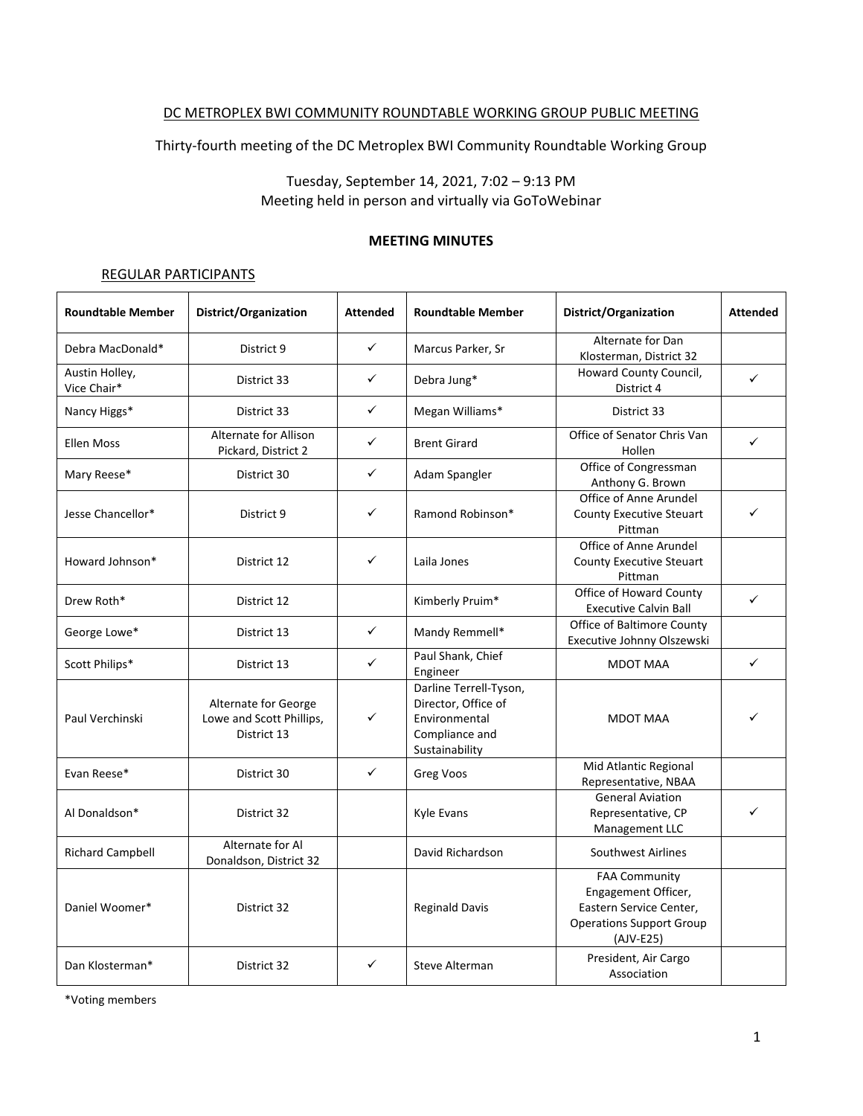### DC METROPLEX BWI COMMUNITY ROUNDTABLE WORKING GROUP PUBLIC MEETING

Thirty-fourth meeting of the DC Metroplex BWI Community Roundtable Working Group

# Tuesday, September 14, 2021, 7:02 – 9:13 PM Meeting held in person and virtually via GoToWebinar

### **MEETING MINUTES**

### REGULAR PARTICIPANTS

| <b>Roundtable Member</b>      | District/Organization                                           | <b>Attended</b> | <b>Roundtable Member</b>                                                                           | District/Organization                                                                                                  | <b>Attended</b> |
|-------------------------------|-----------------------------------------------------------------|-----------------|----------------------------------------------------------------------------------------------------|------------------------------------------------------------------------------------------------------------------------|-----------------|
| Debra MacDonald*              | District 9                                                      | ✓               | Marcus Parker, Sr                                                                                  | Alternate for Dan<br>Klosterman, District 32                                                                           |                 |
| Austin Holley,<br>Vice Chair* | District 33                                                     | ✓               | Debra Jung*                                                                                        | Howard County Council,<br>District 4                                                                                   | ✓               |
| Nancy Higgs*                  | District 33                                                     | ✓               | Megan Williams*                                                                                    | District 33                                                                                                            |                 |
| <b>Ellen Moss</b>             | <b>Alternate for Allison</b><br>Pickard, District 2             | ✓               | <b>Brent Girard</b>                                                                                | Office of Senator Chris Van<br>Hollen                                                                                  | $\checkmark$    |
| Mary Reese*                   | District 30                                                     | ✓               | Adam Spangler                                                                                      | Office of Congressman<br>Anthony G. Brown                                                                              |                 |
| Jesse Chancellor*             | District 9                                                      | ✓               | Ramond Robinson*                                                                                   | Office of Anne Arundel<br><b>County Executive Steuart</b><br>Pittman                                                   |                 |
| Howard Johnson*               | District 12                                                     | ✓               | Laila Jones                                                                                        | Office of Anne Arundel<br><b>County Executive Steuart</b><br>Pittman                                                   |                 |
| Drew Roth*                    | District 12                                                     |                 | Kimberly Pruim*                                                                                    | Office of Howard County<br><b>Executive Calvin Ball</b>                                                                | $\checkmark$    |
| George Lowe*                  | District 13                                                     | $\checkmark$    | Mandy Remmell*                                                                                     | Office of Baltimore County<br>Executive Johnny Olszewski                                                               |                 |
| Scott Philips*                | District 13                                                     | $\checkmark$    | Paul Shank, Chief<br>Engineer                                                                      | <b>MDOT MAA</b>                                                                                                        | $\checkmark$    |
| Paul Verchinski               | Alternate for George<br>Lowe and Scott Phillips,<br>District 13 | ✓               | Darline Terrell-Tyson,<br>Director, Office of<br>Environmental<br>Compliance and<br>Sustainability | <b>MDOT MAA</b>                                                                                                        |                 |
| Evan Reese*                   | District 30                                                     | $\checkmark$    | <b>Greg Voos</b>                                                                                   | Mid Atlantic Regional<br>Representative, NBAA                                                                          |                 |
| Al Donaldson*                 | District 32                                                     |                 | Kyle Evans                                                                                         | <b>General Aviation</b><br>Representative, CP<br>Management LLC                                                        | ✓               |
| <b>Richard Campbell</b>       | Alternate for Al<br>Donaldson, District 32                      |                 | David Richardson                                                                                   | Southwest Airlines                                                                                                     |                 |
| Daniel Woomer*                | District 32                                                     |                 | <b>Reginald Davis</b>                                                                              | <b>FAA Community</b><br>Engagement Officer,<br>Eastern Service Center,<br><b>Operations Support Group</b><br>(AJV-E25) |                 |
| Dan Klosterman*               | District 32                                                     | ✓               | Steve Alterman                                                                                     | President, Air Cargo<br>Association                                                                                    |                 |

\*Voting members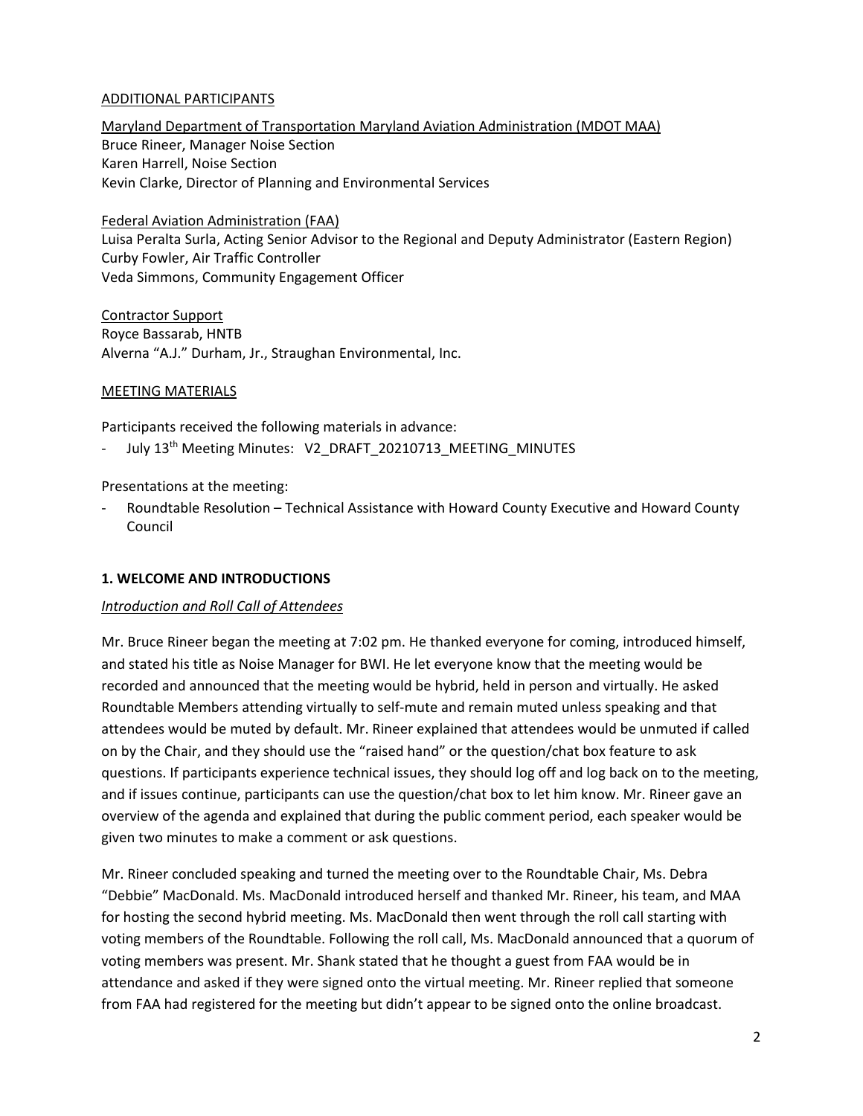### ADDITIONAL PARTICIPANTS

Maryland Department of Transportation Maryland Aviation Administration (MDOT MAA) Bruce Rineer, Manager Noise Section Karen Harrell, Noise Section Kevin Clarke, Director of Planning and Environmental Services

Federal Aviation Administration (FAA) Luisa Peralta Surla, Acting Senior Advisor to the Regional and Deputy Administrator (Eastern Region) Curby Fowler, Air Traffic Controller Veda Simmons, Community Engagement Officer

Contractor Support Royce Bassarab, HNTB Alverna "A.J." Durham, Jr., Straughan Environmental, Inc.

### MEETING MATERIALS

Participants received the following materials in advance:

July 13<sup>th</sup> Meeting Minutes: V2\_DRAFT\_20210713\_MEETING\_MINUTES

### Presentations at the meeting:

- Roundtable Resolution – Technical Assistance with Howard County Executive and Howard County Council

### **1. WELCOME AND INTRODUCTIONS**

### *Introduction and Roll Call of Attendees*

Mr. Bruce Rineer began the meeting at 7:02 pm. He thanked everyone for coming, introduced himself, and stated his title as Noise Manager for BWI. He let everyone know that the meeting would be recorded and announced that the meeting would be hybrid, held in person and virtually. He asked Roundtable Members attending virtually to self-mute and remain muted unless speaking and that attendees would be muted by default. Mr. Rineer explained that attendees would be unmuted if called on by the Chair, and they should use the "raised hand" or the question/chat box feature to ask questions. If participants experience technical issues, they should log off and log back on to the meeting, and if issues continue, participants can use the question/chat box to let him know. Mr. Rineer gave an overview of the agenda and explained that during the public comment period, each speaker would be given two minutes to make a comment or ask questions.

Mr. Rineer concluded speaking and turned the meeting over to the Roundtable Chair, Ms. Debra "Debbie" MacDonald. Ms. MacDonald introduced herself and thanked Mr. Rineer, his team, and MAA for hosting the second hybrid meeting. Ms. MacDonald then went through the roll call starting with voting members of the Roundtable. Following the roll call, Ms. MacDonald announced that a quorum of voting members was present. Mr. Shank stated that he thought a guest from FAA would be in attendance and asked if they were signed onto the virtual meeting. Mr. Rineer replied that someone from FAA had registered for the meeting but didn't appear to be signed onto the online broadcast.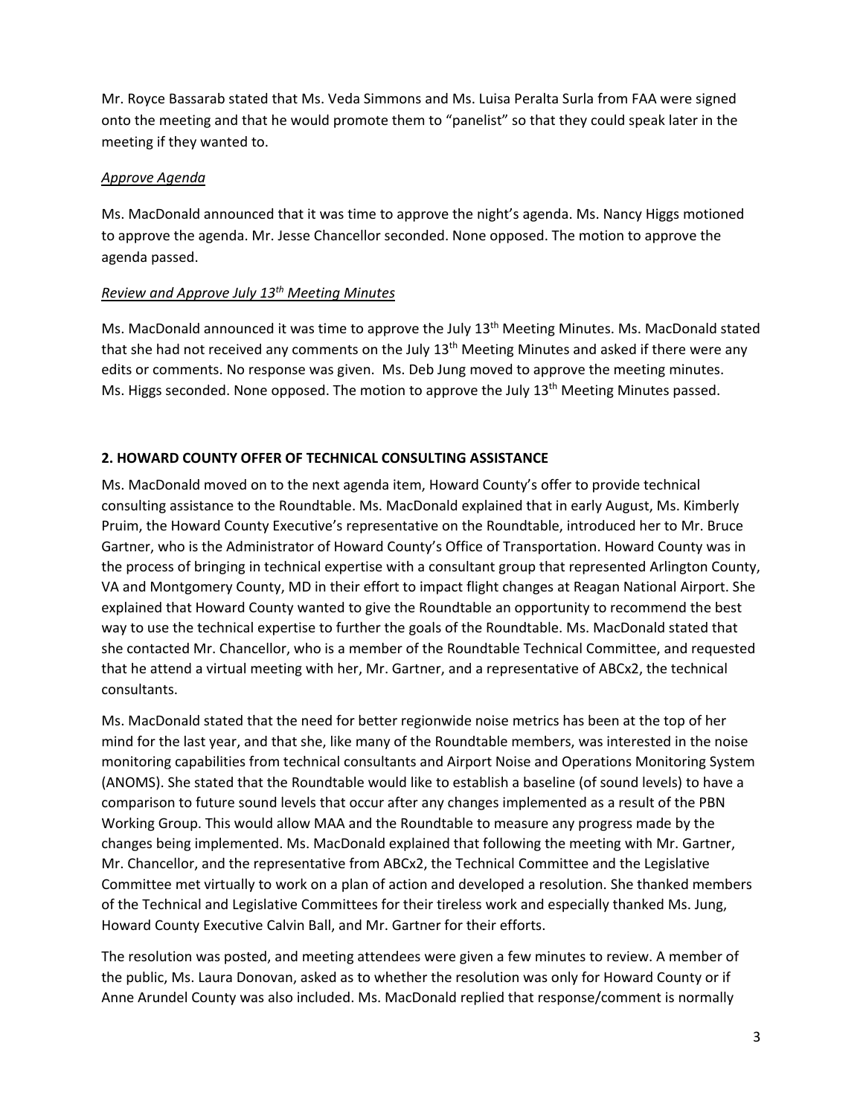Mr. Royce Bassarab stated that Ms. Veda Simmons and Ms. Luisa Peralta Surla from FAA were signed onto the meeting and that he would promote them to "panelist" so that they could speak later in the meeting if they wanted to.

### *Approve Agenda*

Ms. MacDonald announced that it was time to approve the night's agenda. Ms. Nancy Higgs motioned to approve the agenda. Mr. Jesse Chancellor seconded. None opposed. The motion to approve the agenda passed.

### *Review and Approve July 13th Meeting Minutes*

Ms. MacDonald announced it was time to approve the July  $13<sup>th</sup>$  Meeting Minutes. Ms. MacDonald stated that she had not received any comments on the July 13<sup>th</sup> Meeting Minutes and asked if there were any edits or comments. No response was given. Ms. Deb Jung moved to approve the meeting minutes. Ms. Higgs seconded. None opposed. The motion to approve the July  $13<sup>th</sup>$  Meeting Minutes passed.

## **2. HOWARD COUNTY OFFER OF TECHNICAL CONSULTING ASSISTANCE**

Ms. MacDonald moved on to the next agenda item, Howard County's offer to provide technical consulting assistance to the Roundtable. Ms. MacDonald explained that in early August, Ms. Kimberly Pruim, the Howard County Executive's representative on the Roundtable, introduced her to Mr. Bruce Gartner, who is the Administrator of Howard County's Office of Transportation. Howard County was in the process of bringing in technical expertise with a consultant group that represented Arlington County, VA and Montgomery County, MD in their effort to impact flight changes at Reagan National Airport. She explained that Howard County wanted to give the Roundtable an opportunity to recommend the best way to use the technical expertise to further the goals of the Roundtable. Ms. MacDonald stated that she contacted Mr. Chancellor, who is a member of the Roundtable Technical Committee, and requested that he attend a virtual meeting with her, Mr. Gartner, and a representative of ABCx2, the technical consultants.

Ms. MacDonald stated that the need for better regionwide noise metrics has been at the top of her mind for the last year, and that she, like many of the Roundtable members, was interested in the noise monitoring capabilities from technical consultants and Airport Noise and Operations Monitoring System (ANOMS). She stated that the Roundtable would like to establish a baseline (of sound levels) to have a comparison to future sound levels that occur after any changes implemented as a result of the PBN Working Group. This would allow MAA and the Roundtable to measure any progress made by the changes being implemented. Ms. MacDonald explained that following the meeting with Mr. Gartner, Mr. Chancellor, and the representative from ABCx2, the Technical Committee and the Legislative Committee met virtually to work on a plan of action and developed a resolution. She thanked members of the Technical and Legislative Committees for their tireless work and especially thanked Ms. Jung, Howard County Executive Calvin Ball, and Mr. Gartner for their efforts.

The resolution was posted, and meeting attendees were given a few minutes to review. A member of the public, Ms. Laura Donovan, asked as to whether the resolution was only for Howard County or if Anne Arundel County was also included. Ms. MacDonald replied that response/comment is normally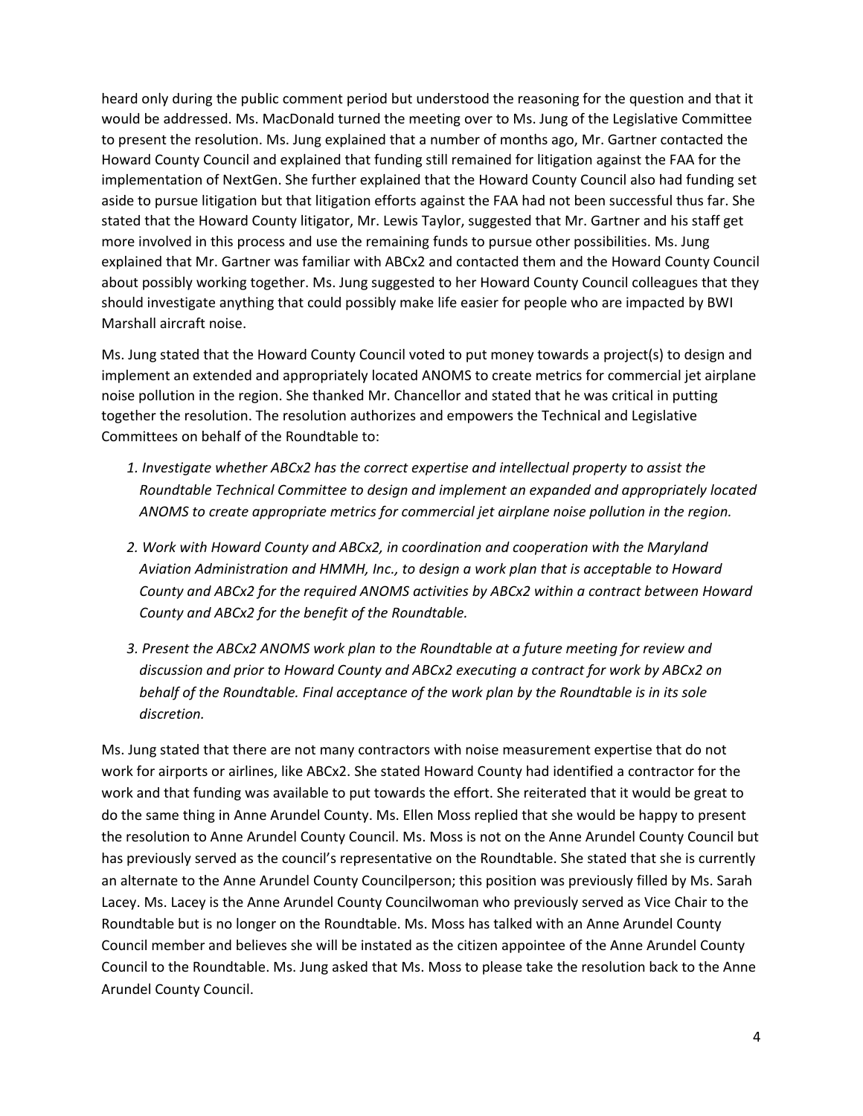heard only during the public comment period but understood the reasoning for the question and that it would be addressed. Ms. MacDonald turned the meeting over to Ms. Jung of the Legislative Committee to present the resolution. Ms. Jung explained that a number of months ago, Mr. Gartner contacted the Howard County Council and explained that funding still remained for litigation against the FAA for the implementation of NextGen. She further explained that the Howard County Council also had funding set aside to pursue litigation but that litigation efforts against the FAA had not been successful thus far. She stated that the Howard County litigator, Mr. Lewis Taylor, suggested that Mr. Gartner and his staff get more involved in this process and use the remaining funds to pursue other possibilities. Ms. Jung explained that Mr. Gartner was familiar with ABCx2 and contacted them and the Howard County Council about possibly working together. Ms. Jung suggested to her Howard County Council colleagues that they should investigate anything that could possibly make life easier for people who are impacted by BWI Marshall aircraft noise.

Ms. Jung stated that the Howard County Council voted to put money towards a project(s) to design and implement an extended and appropriately located ANOMS to create metrics for commercial jet airplane noise pollution in the region. She thanked Mr. Chancellor and stated that he was critical in putting together the resolution. The resolution authorizes and empowers the Technical and Legislative Committees on behalf of the Roundtable to:

- *1. Investigate whether ABCx2 has the correct expertise and intellectual property to assist the Roundtable Technical Committee to design and implement an expanded and appropriately located ANOMS to create appropriate metrics for commercial jet airplane noise pollution in the region.*
- *2. Work with Howard County and ABCx2, in coordination and cooperation with the Maryland Aviation Administration and HMMH, Inc., to design a work plan that is acceptable to Howard County and ABCx2 for the required ANOMS activities by ABCx2 within a contract between Howard County and ABCx2 for the benefit of the Roundtable.*
- *3. Present the ABCx2 ANOMS work plan to the Roundtable at a future meeting for review and discussion and prior to Howard County and ABCx2 executing a contract for work by ABCx2 on behalf of the Roundtable. Final acceptance of the work plan by the Roundtable is in its sole discretion.*

Ms. Jung stated that there are not many contractors with noise measurement expertise that do not work for airports or airlines, like ABCx2. She stated Howard County had identified a contractor for the work and that funding was available to put towards the effort. She reiterated that it would be great to do the same thing in Anne Arundel County. Ms. Ellen Moss replied that she would be happy to present the resolution to Anne Arundel County Council. Ms. Moss is not on the Anne Arundel County Council but has previously served as the council's representative on the Roundtable. She stated that she is currently an alternate to the Anne Arundel County Councilperson; this position was previously filled by Ms. Sarah Lacey. Ms. Lacey is the Anne Arundel County Councilwoman who previously served as Vice Chair to the Roundtable but is no longer on the Roundtable. Ms. Moss has talked with an Anne Arundel County Council member and believes she will be instated as the citizen appointee of the Anne Arundel County Council to the Roundtable. Ms. Jung asked that Ms. Moss to please take the resolution back to the Anne Arundel County Council.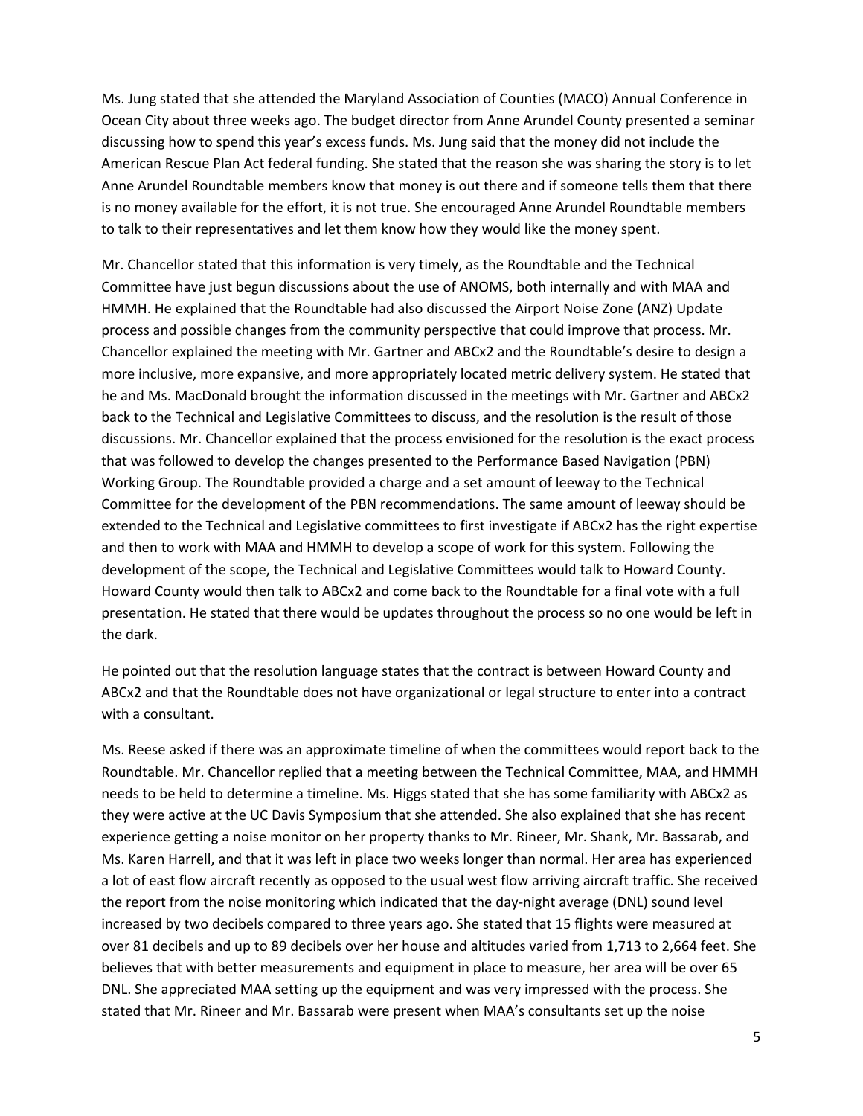Ms. Jung stated that she attended the Maryland Association of Counties (MACO) Annual Conference in Ocean City about three weeks ago. The budget director from Anne Arundel County presented a seminar discussing how to spend this year's excess funds. Ms. Jung said that the money did not include the American Rescue Plan Act federal funding. She stated that the reason she was sharing the story is to let Anne Arundel Roundtable members know that money is out there and if someone tells them that there is no money available for the effort, it is not true. She encouraged Anne Arundel Roundtable members to talk to their representatives and let them know how they would like the money spent.

Mr. Chancellor stated that this information is very timely, as the Roundtable and the Technical Committee have just begun discussions about the use of ANOMS, both internally and with MAA and HMMH. He explained that the Roundtable had also discussed the Airport Noise Zone (ANZ) Update process and possible changes from the community perspective that could improve that process. Mr. Chancellor explained the meeting with Mr. Gartner and ABCx2 and the Roundtable's desire to design a more inclusive, more expansive, and more appropriately located metric delivery system. He stated that he and Ms. MacDonald brought the information discussed in the meetings with Mr. Gartner and ABCx2 back to the Technical and Legislative Committees to discuss, and the resolution is the result of those discussions. Mr. Chancellor explained that the process envisioned for the resolution is the exact process that was followed to develop the changes presented to the Performance Based Navigation (PBN) Working Group. The Roundtable provided a charge and a set amount of leeway to the Technical Committee for the development of the PBN recommendations. The same amount of leeway should be extended to the Technical and Legislative committees to first investigate if ABCx2 has the right expertise and then to work with MAA and HMMH to develop a scope of work for this system. Following the development of the scope, the Technical and Legislative Committees would talk to Howard County. Howard County would then talk to ABCx2 and come back to the Roundtable for a final vote with a full presentation. He stated that there would be updates throughout the process so no one would be left in the dark.

He pointed out that the resolution language states that the contract is between Howard County and ABCx2 and that the Roundtable does not have organizational or legal structure to enter into a contract with a consultant.

Ms. Reese asked if there was an approximate timeline of when the committees would report back to the Roundtable. Mr. Chancellor replied that a meeting between the Technical Committee, MAA, and HMMH needs to be held to determine a timeline. Ms. Higgs stated that she has some familiarity with ABCx2 as they were active at the UC Davis Symposium that she attended. She also explained that she has recent experience getting a noise monitor on her property thanks to Mr. Rineer, Mr. Shank, Mr. Bassarab, and Ms. Karen Harrell, and that it was left in place two weeks longer than normal. Her area has experienced a lot of east flow aircraft recently as opposed to the usual west flow arriving aircraft traffic. She received the report from the noise monitoring which indicated that the day-night average (DNL) sound level increased by two decibels compared to three years ago. She stated that 15 flights were measured at over 81 decibels and up to 89 decibels over her house and altitudes varied from 1,713 to 2,664 feet. She believes that with better measurements and equipment in place to measure, her area will be over 65 DNL. She appreciated MAA setting up the equipment and was very impressed with the process. She stated that Mr. Rineer and Mr. Bassarab were present when MAA's consultants set up the noise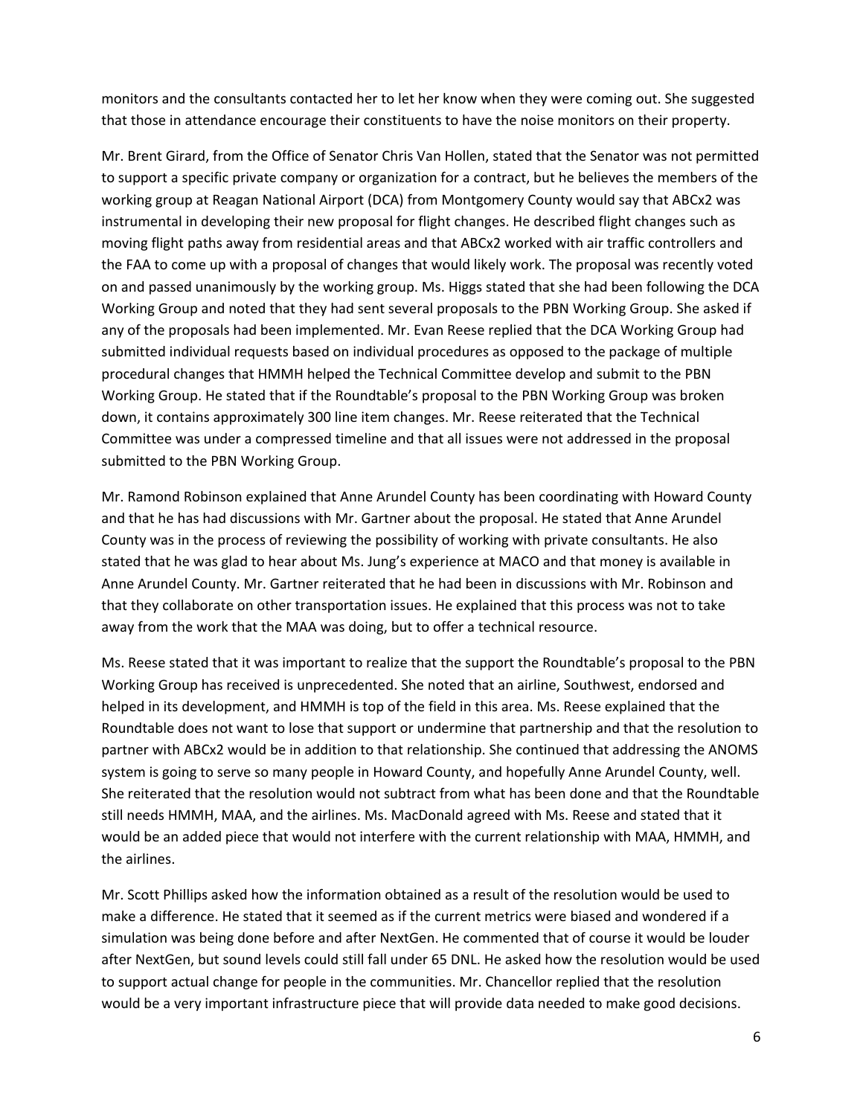monitors and the consultants contacted her to let her know when they were coming out. She suggested that those in attendance encourage their constituents to have the noise monitors on their property.

Mr. Brent Girard, from the Office of Senator Chris Van Hollen, stated that the Senator was not permitted to support a specific private company or organization for a contract, but he believes the members of the working group at Reagan National Airport (DCA) from Montgomery County would say that ABCx2 was instrumental in developing their new proposal for flight changes. He described flight changes such as moving flight paths away from residential areas and that ABCx2 worked with air traffic controllers and the FAA to come up with a proposal of changes that would likely work. The proposal was recently voted on and passed unanimously by the working group. Ms. Higgs stated that she had been following the DCA Working Group and noted that they had sent several proposals to the PBN Working Group. She asked if any of the proposals had been implemented. Mr. Evan Reese replied that the DCA Working Group had submitted individual requests based on individual procedures as opposed to the package of multiple procedural changes that HMMH helped the Technical Committee develop and submit to the PBN Working Group. He stated that if the Roundtable's proposal to the PBN Working Group was broken down, it contains approximately 300 line item changes. Mr. Reese reiterated that the Technical Committee was under a compressed timeline and that all issues were not addressed in the proposal submitted to the PBN Working Group.

Mr. Ramond Robinson explained that Anne Arundel County has been coordinating with Howard County and that he has had discussions with Mr. Gartner about the proposal. He stated that Anne Arundel County was in the process of reviewing the possibility of working with private consultants. He also stated that he was glad to hear about Ms. Jung's experience at MACO and that money is available in Anne Arundel County. Mr. Gartner reiterated that he had been in discussions with Mr. Robinson and that they collaborate on other transportation issues. He explained that this process was not to take away from the work that the MAA was doing, but to offer a technical resource.

Ms. Reese stated that it was important to realize that the support the Roundtable's proposal to the PBN Working Group has received is unprecedented. She noted that an airline, Southwest, endorsed and helped in its development, and HMMH is top of the field in this area. Ms. Reese explained that the Roundtable does not want to lose that support or undermine that partnership and that the resolution to partner with ABCx2 would be in addition to that relationship. She continued that addressing the ANOMS system is going to serve so many people in Howard County, and hopefully Anne Arundel County, well. She reiterated that the resolution would not subtract from what has been done and that the Roundtable still needs HMMH, MAA, and the airlines. Ms. MacDonald agreed with Ms. Reese and stated that it would be an added piece that would not interfere with the current relationship with MAA, HMMH, and the airlines.

Mr. Scott Phillips asked how the information obtained as a result of the resolution would be used to make a difference. He stated that it seemed as if the current metrics were biased and wondered if a simulation was being done before and after NextGen. He commented that of course it would be louder after NextGen, but sound levels could still fall under 65 DNL. He asked how the resolution would be used to support actual change for people in the communities. Mr. Chancellor replied that the resolution would be a very important infrastructure piece that will provide data needed to make good decisions.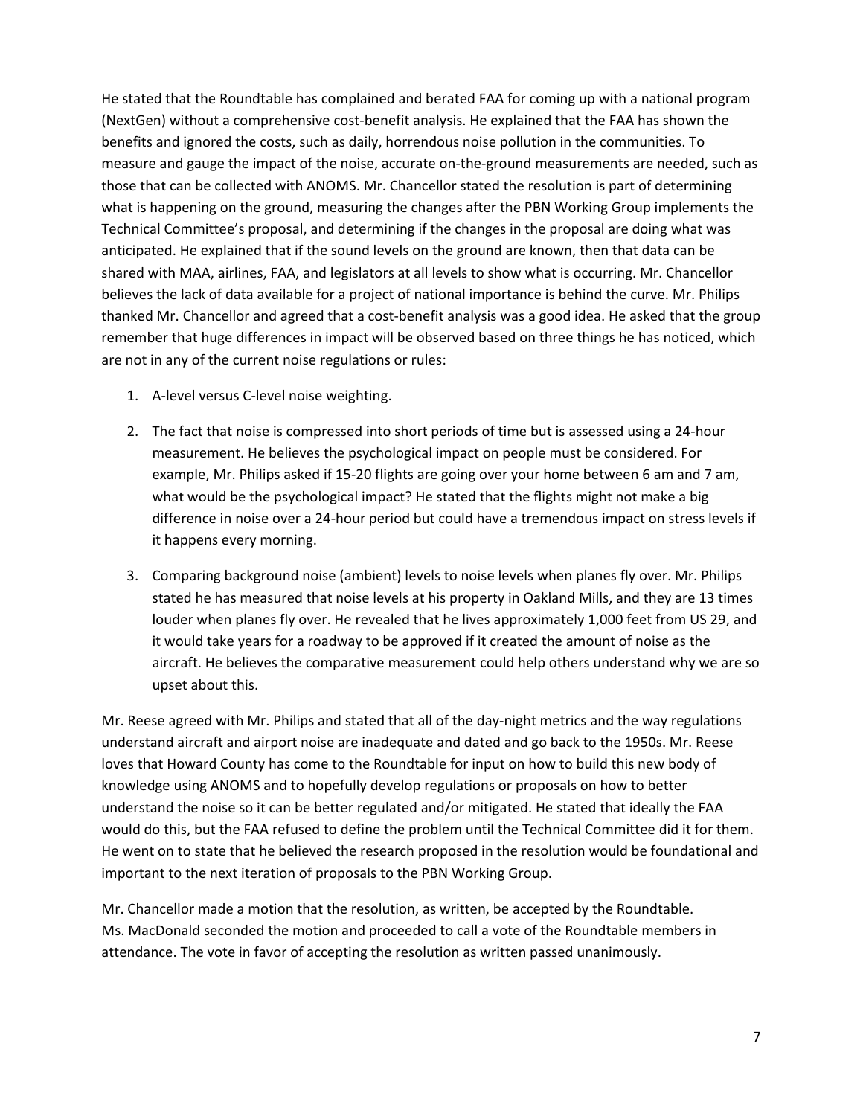He stated that the Roundtable has complained and berated FAA for coming up with a national program (NextGen) without a comprehensive cost-benefit analysis. He explained that the FAA has shown the benefits and ignored the costs, such as daily, horrendous noise pollution in the communities. To measure and gauge the impact of the noise, accurate on-the-ground measurements are needed, such as those that can be collected with ANOMS. Mr. Chancellor stated the resolution is part of determining what is happening on the ground, measuring the changes after the PBN Working Group implements the Technical Committee's proposal, and determining if the changes in the proposal are doing what was anticipated. He explained that if the sound levels on the ground are known, then that data can be shared with MAA, airlines, FAA, and legislators at all levels to show what is occurring. Mr. Chancellor believes the lack of data available for a project of national importance is behind the curve. Mr. Philips thanked Mr. Chancellor and agreed that a cost-benefit analysis was a good idea. He asked that the group remember that huge differences in impact will be observed based on three things he has noticed, which are not in any of the current noise regulations or rules:

- 1. A-level versus C-level noise weighting.
- 2. The fact that noise is compressed into short periods of time but is assessed using a 24-hour measurement. He believes the psychological impact on people must be considered. For example, Mr. Philips asked if 15-20 flights are going over your home between 6 am and 7 am, what would be the psychological impact? He stated that the flights might not make a big difference in noise over a 24-hour period but could have a tremendous impact on stress levels if it happens every morning.
- 3. Comparing background noise (ambient) levels to noise levels when planes fly over. Mr. Philips stated he has measured that noise levels at his property in Oakland Mills, and they are 13 times louder when planes fly over. He revealed that he lives approximately 1,000 feet from US 29, and it would take years for a roadway to be approved if it created the amount of noise as the aircraft. He believes the comparative measurement could help others understand why we are so upset about this.

Mr. Reese agreed with Mr. Philips and stated that all of the day-night metrics and the way regulations understand aircraft and airport noise are inadequate and dated and go back to the 1950s. Mr. Reese loves that Howard County has come to the Roundtable for input on how to build this new body of knowledge using ANOMS and to hopefully develop regulations or proposals on how to better understand the noise so it can be better regulated and/or mitigated. He stated that ideally the FAA would do this, but the FAA refused to define the problem until the Technical Committee did it for them. He went on to state that he believed the research proposed in the resolution would be foundational and important to the next iteration of proposals to the PBN Working Group.

Mr. Chancellor made a motion that the resolution, as written, be accepted by the Roundtable. Ms. MacDonald seconded the motion and proceeded to call a vote of the Roundtable members in attendance. The vote in favor of accepting the resolution as written passed unanimously.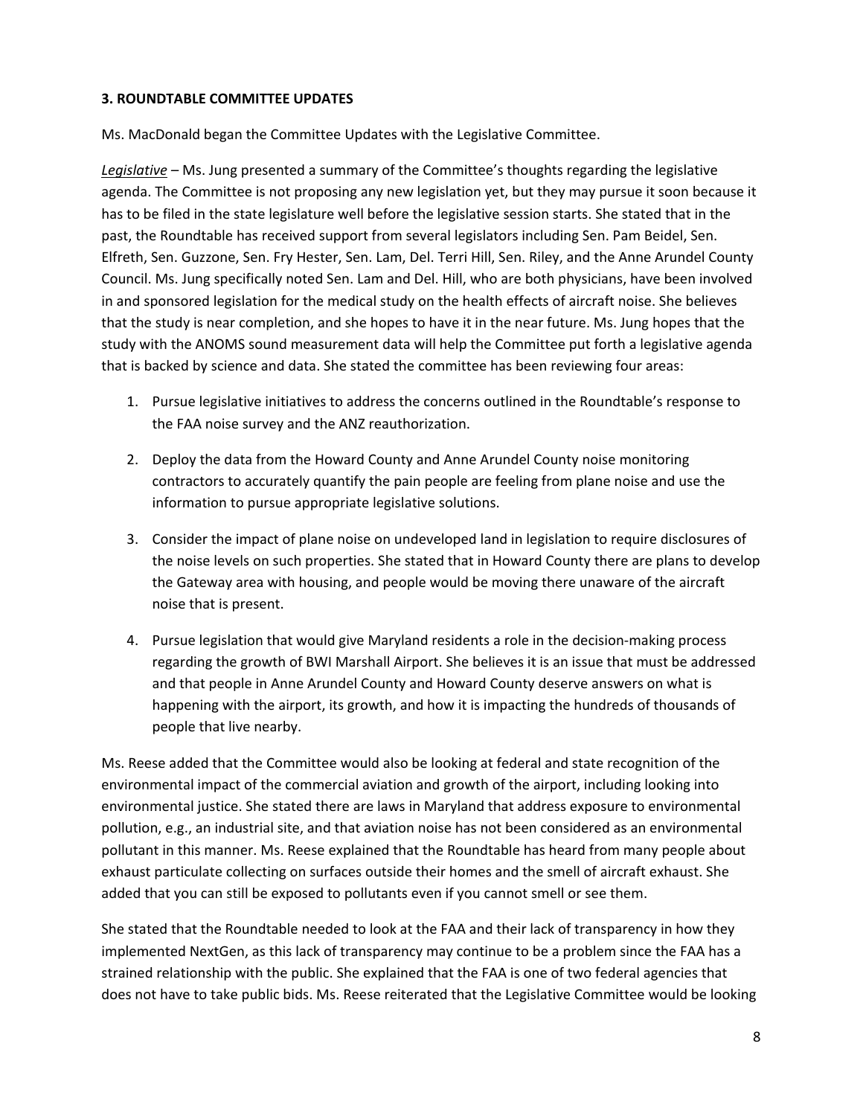### **3. ROUNDTABLE COMMITTEE UPDATES**

Ms. MacDonald began the Committee Updates with the Legislative Committee.

*Legislative –* Ms. Jung presented a summary of the Committee's thoughts regarding the legislative agenda. The Committee is not proposing any new legislation yet, but they may pursue it soon because it has to be filed in the state legislature well before the legislative session starts. She stated that in the past, the Roundtable has received support from several legislators including Sen. Pam Beidel, Sen. Elfreth, Sen. Guzzone, Sen. Fry Hester, Sen. Lam, Del. Terri Hill, Sen. Riley, and the Anne Arundel County Council. Ms. Jung specifically noted Sen. Lam and Del. Hill, who are both physicians, have been involved in and sponsored legislation for the medical study on the health effects of aircraft noise. She believes that the study is near completion, and she hopes to have it in the near future. Ms. Jung hopes that the study with the ANOMS sound measurement data will help the Committee put forth a legislative agenda that is backed by science and data. She stated the committee has been reviewing four areas:

- 1. Pursue legislative initiatives to address the concerns outlined in the Roundtable's response to the FAA noise survey and the ANZ reauthorization.
- 2. Deploy the data from the Howard County and Anne Arundel County noise monitoring contractors to accurately quantify the pain people are feeling from plane noise and use the information to pursue appropriate legislative solutions.
- 3. Consider the impact of plane noise on undeveloped land in legislation to require disclosures of the noise levels on such properties. She stated that in Howard County there are plans to develop the Gateway area with housing, and people would be moving there unaware of the aircraft noise that is present.
- 4. Pursue legislation that would give Maryland residents a role in the decision-making process regarding the growth of BWI Marshall Airport. She believes it is an issue that must be addressed and that people in Anne Arundel County and Howard County deserve answers on what is happening with the airport, its growth, and how it is impacting the hundreds of thousands of people that live nearby.

Ms. Reese added that the Committee would also be looking at federal and state recognition of the environmental impact of the commercial aviation and growth of the airport, including looking into environmental justice. She stated there are laws in Maryland that address exposure to environmental pollution, e.g., an industrial site, and that aviation noise has not been considered as an environmental pollutant in this manner. Ms. Reese explained that the Roundtable has heard from many people about exhaust particulate collecting on surfaces outside their homes and the smell of aircraft exhaust. She added that you can still be exposed to pollutants even if you cannot smell or see them.

She stated that the Roundtable needed to look at the FAA and their lack of transparency in how they implemented NextGen, as this lack of transparency may continue to be a problem since the FAA has a strained relationship with the public. She explained that the FAA is one of two federal agencies that does not have to take public bids. Ms. Reese reiterated that the Legislative Committee would be looking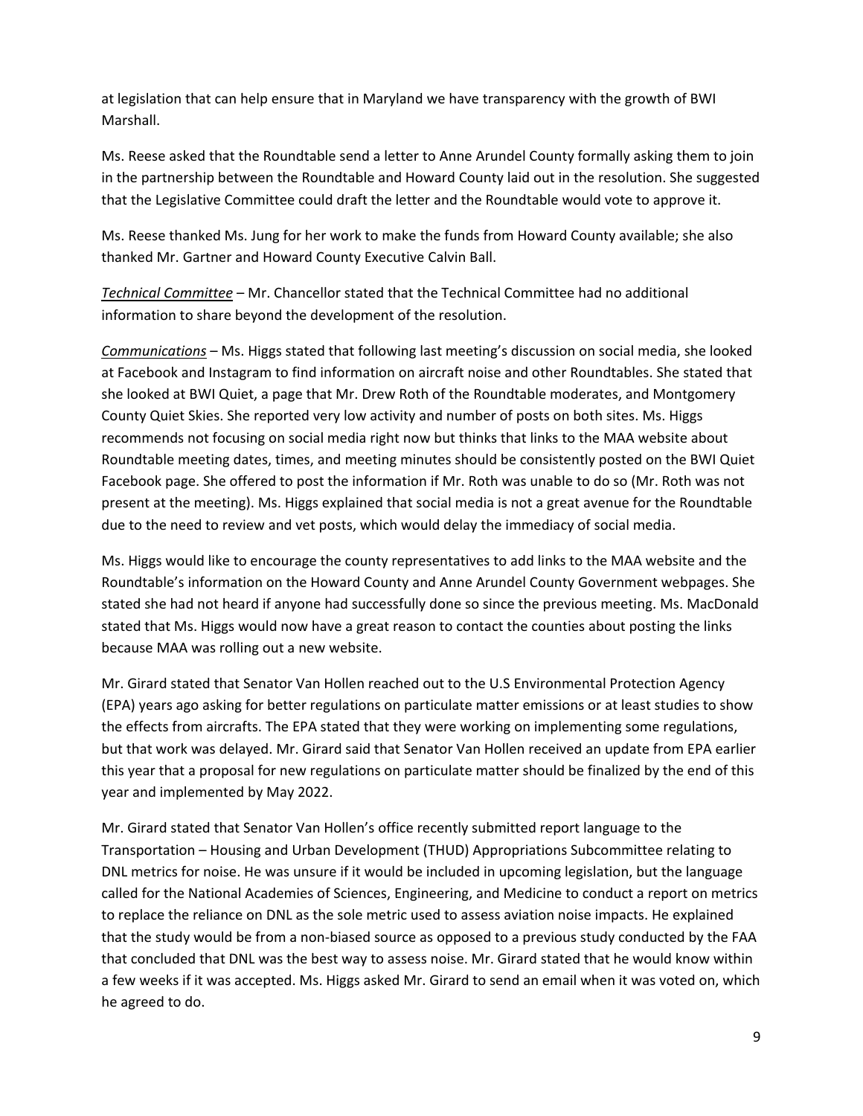at legislation that can help ensure that in Maryland we have transparency with the growth of BWI Marshall.

Ms. Reese asked that the Roundtable send a letter to Anne Arundel County formally asking them to join in the partnership between the Roundtable and Howard County laid out in the resolution. She suggested that the Legislative Committee could draft the letter and the Roundtable would vote to approve it.

Ms. Reese thanked Ms. Jung for her work to make the funds from Howard County available; she also thanked Mr. Gartner and Howard County Executive Calvin Ball.

*Technical Committee* – Mr. Chancellor stated that the Technical Committee had no additional information to share beyond the development of the resolution.

*Communications* – Ms. Higgs stated that following last meeting's discussion on social media, she looked at Facebook and Instagram to find information on aircraft noise and other Roundtables. She stated that she looked at BWI Quiet, a page that Mr. Drew Roth of the Roundtable moderates, and Montgomery County Quiet Skies. She reported very low activity and number of posts on both sites. Ms. Higgs recommends not focusing on social media right now but thinks that links to the MAA website about Roundtable meeting dates, times, and meeting minutes should be consistently posted on the BWI Quiet Facebook page. She offered to post the information if Mr. Roth was unable to do so (Mr. Roth was not present at the meeting). Ms. Higgs explained that social media is not a great avenue for the Roundtable due to the need to review and vet posts, which would delay the immediacy of social media.

Ms. Higgs would like to encourage the county representatives to add links to the MAA website and the Roundtable's information on the Howard County and Anne Arundel County Government webpages. She stated she had not heard if anyone had successfully done so since the previous meeting. Ms. MacDonald stated that Ms. Higgs would now have a great reason to contact the counties about posting the links because MAA was rolling out a new website.

Mr. Girard stated that Senator Van Hollen reached out to the U.S Environmental Protection Agency (EPA) years ago asking for better regulations on particulate matter emissions or at least studies to show the effects from aircrafts. The EPA stated that they were working on implementing some regulations, but that work was delayed. Mr. Girard said that Senator Van Hollen received an update from EPA earlier this year that a proposal for new regulations on particulate matter should be finalized by the end of this year and implemented by May 2022.

Mr. Girard stated that Senator Van Hollen's office recently submitted report language to the Transportation – Housing and Urban Development (THUD) Appropriations Subcommittee relating to DNL metrics for noise. He was unsure if it would be included in upcoming legislation, but the language called for the National Academies of Sciences, Engineering, and Medicine to conduct a report on metrics to replace the reliance on DNL as the sole metric used to assess aviation noise impacts. He explained that the study would be from a non-biased source as opposed to a previous study conducted by the FAA that concluded that DNL was the best way to assess noise. Mr. Girard stated that he would know within a few weeks if it was accepted. Ms. Higgs asked Mr. Girard to send an email when it was voted on, which he agreed to do.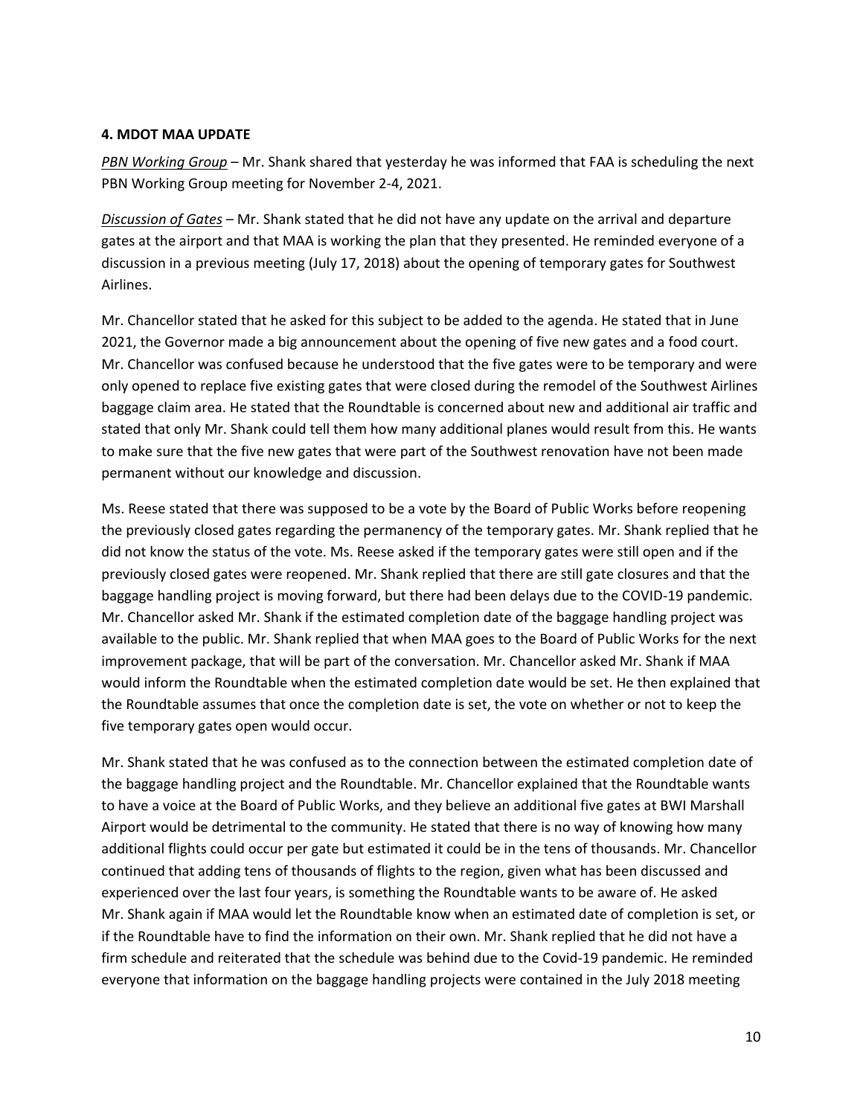#### **4. MDOT MAA UPDATE**

*PBN Working Group* – Mr. Shank shared that yesterday he was informed that FAA is scheduling the next PBN Working Group meeting for November 2-4, 2021.

*Discussion of Gates* – Mr. Shank stated that he did not have any update on the arrival and departure gates at the airport and that MAA is working the plan that they presented. He reminded everyone of a discussion in a previous meeting (July 17, 2018) about the opening of temporary gates for Southwest Airlines.

Mr. Chancellor stated that he asked for this subject to be added to the agenda. He stated that in June 2021, the Governor made a big announcement about the opening of five new gates and a food court. Mr. Chancellor was confused because he understood that the five gates were to be temporary and were only opened to replace five existing gates that were closed during the remodel of the Southwest Airlines baggage claim area. He stated that the Roundtable is concerned about new and additional air traffic and stated that only Mr. Shank could tell them how many additional planes would result from this. He wants to make sure that the five new gates that were part of the Southwest renovation have not been made permanent without our knowledge and discussion.

Ms. Reese stated that there was supposed to be a vote by the Board of Public Works before reopening the previously closed gates regarding the permanency of the temporary gates. Mr. Shank replied that he did not know the status of the vote. Ms. Reese asked if the temporary gates were still open and if the previously closed gates were reopened. Mr. Shank replied that there are still gate closures and that the baggage handling project is moving forward, but there had been delays due to the COVID-19 pandemic. Mr. Chancellor asked Mr. Shank if the estimated completion date of the baggage handling project was available to the public. Mr. Shank replied that when MAA goes to the Board of Public Works for the next improvement package, that will be part of the conversation. Mr. Chancellor asked Mr. Shank if MAA would inform the Roundtable when the estimated completion date would be set. He then explained that the Roundtable assumes that once the completion date is set, the vote on whether or not to keep the five temporary gates open would occur.

Mr. Shank stated that he was confused as to the connection between the estimated completion date of the baggage handling project and the Roundtable. Mr. Chancellor explained that the Roundtable wants to have a voice at the Board of Public Works, and they believe an additional five gates at BWI Marshall Airport would be detrimental to the community. He stated that there is no way of knowing how many additional flights could occur per gate but estimated it could be in the tens of thousands. Mr. Chancellor continued that adding tens of thousands of flights to the region, given what has been discussed and experienced over the last four years, is something the Roundtable wants to be aware of. He asked Mr. Shank again if MAA would let the Roundtable know when an estimated date of completion is set, or if the Roundtable have to find the information on their own. Mr. Shank replied that he did not have a firm schedule and reiterated that the schedule was behind due to the Covid-19 pandemic. He reminded everyone that information on the baggage handling projects were contained in the July 2018 meeting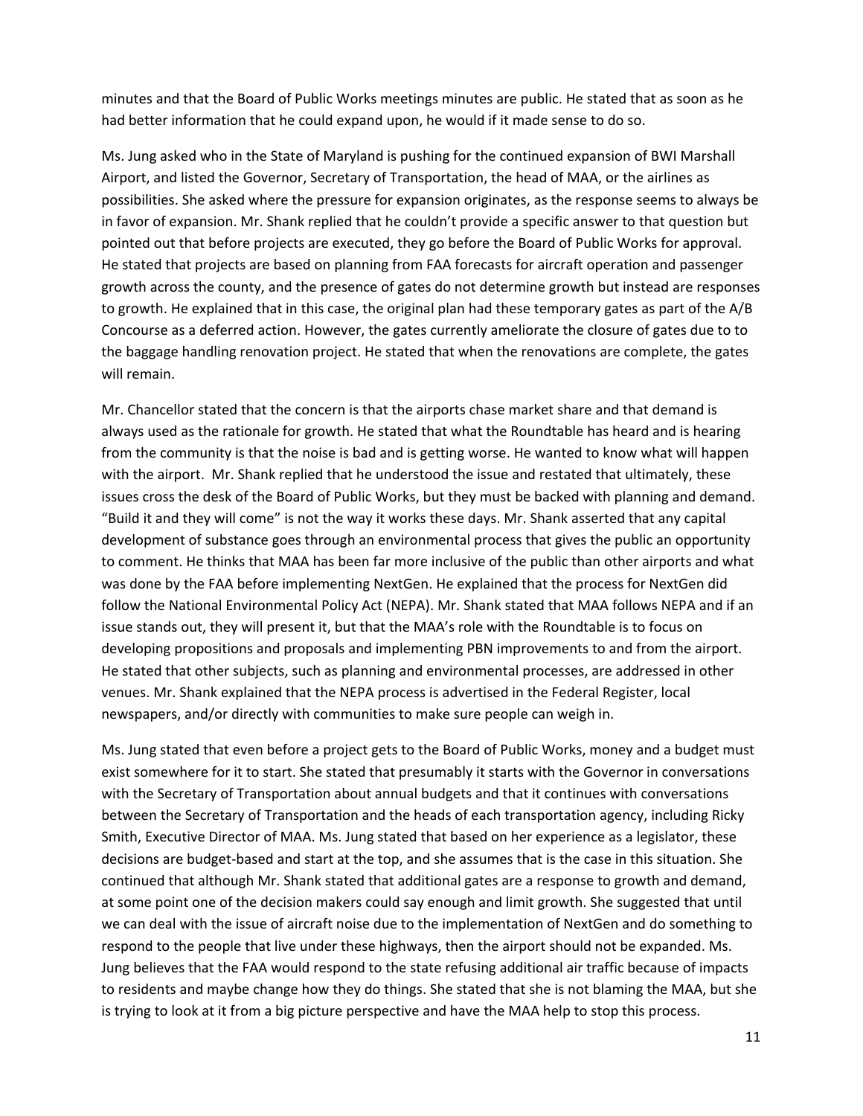minutes and that the Board of Public Works meetings minutes are public. He stated that as soon as he had better information that he could expand upon, he would if it made sense to do so.

Ms. Jung asked who in the State of Maryland is pushing for the continued expansion of BWI Marshall Airport, and listed the Governor, Secretary of Transportation, the head of MAA, or the airlines as possibilities. She asked where the pressure for expansion originates, as the response seems to always be in favor of expansion. Mr. Shank replied that he couldn't provide a specific answer to that question but pointed out that before projects are executed, they go before the Board of Public Works for approval. He stated that projects are based on planning from FAA forecasts for aircraft operation and passenger growth across the county, and the presence of gates do not determine growth but instead are responses to growth. He explained that in this case, the original plan had these temporary gates as part of the A/B Concourse as a deferred action. However, the gates currently ameliorate the closure of gates due to to the baggage handling renovation project. He stated that when the renovations are complete, the gates will remain.

Mr. Chancellor stated that the concern is that the airports chase market share and that demand is always used as the rationale for growth. He stated that what the Roundtable has heard and is hearing from the community is that the noise is bad and is getting worse. He wanted to know what will happen with the airport. Mr. Shank replied that he understood the issue and restated that ultimately, these issues cross the desk of the Board of Public Works, but they must be backed with planning and demand. "Build it and they will come" is not the way it works these days. Mr. Shank asserted that any capital development of substance goes through an environmental process that gives the public an opportunity to comment. He thinks that MAA has been far more inclusive of the public than other airports and what was done by the FAA before implementing NextGen. He explained that the process for NextGen did follow the National Environmental Policy Act (NEPA). Mr. Shank stated that MAA follows NEPA and if an issue stands out, they will present it, but that the MAA's role with the Roundtable is to focus on developing propositions and proposals and implementing PBN improvements to and from the airport. He stated that other subjects, such as planning and environmental processes, are addressed in other venues. Mr. Shank explained that the NEPA process is advertised in the Federal Register, local newspapers, and/or directly with communities to make sure people can weigh in.

Ms. Jung stated that even before a project gets to the Board of Public Works, money and a budget must exist somewhere for it to start. She stated that presumably it starts with the Governor in conversations with the Secretary of Transportation about annual budgets and that it continues with conversations between the Secretary of Transportation and the heads of each transportation agency, including Ricky Smith, Executive Director of MAA. Ms. Jung stated that based on her experience as a legislator, these decisions are budget-based and start at the top, and she assumes that is the case in this situation. She continued that although Mr. Shank stated that additional gates are a response to growth and demand, at some point one of the decision makers could say enough and limit growth. She suggested that until we can deal with the issue of aircraft noise due to the implementation of NextGen and do something to respond to the people that live under these highways, then the airport should not be expanded. Ms. Jung believes that the FAA would respond to the state refusing additional air traffic because of impacts to residents and maybe change how they do things. She stated that she is not blaming the MAA, but she is trying to look at it from a big picture perspective and have the MAA help to stop this process.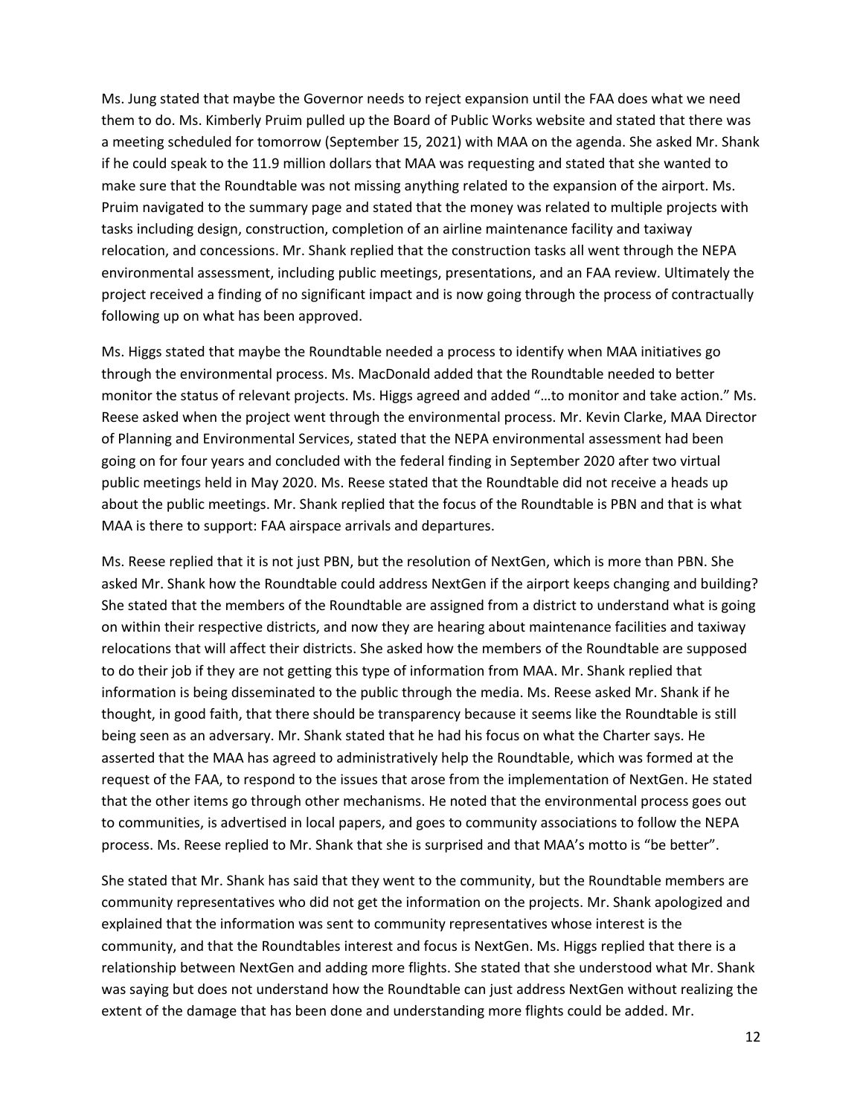Ms. Jung stated that maybe the Governor needs to reject expansion until the FAA does what we need them to do. Ms. Kimberly Pruim pulled up the Board of Public Works website and stated that there was a meeting scheduled for tomorrow (September 15, 2021) with MAA on the agenda. She asked Mr. Shank if he could speak to the 11.9 million dollars that MAA was requesting and stated that she wanted to make sure that the Roundtable was not missing anything related to the expansion of the airport. Ms. Pruim navigated to the summary page and stated that the money was related to multiple projects with tasks including design, construction, completion of an airline maintenance facility and taxiway relocation, and concessions. Mr. Shank replied that the construction tasks all went through the NEPA environmental assessment, including public meetings, presentations, and an FAA review. Ultimately the project received a finding of no significant impact and is now going through the process of contractually following up on what has been approved.

Ms. Higgs stated that maybe the Roundtable needed a process to identify when MAA initiatives go through the environmental process. Ms. MacDonald added that the Roundtable needed to better monitor the status of relevant projects. Ms. Higgs agreed and added "…to monitor and take action." Ms. Reese asked when the project went through the environmental process. Mr. Kevin Clarke, MAA Director of Planning and Environmental Services, stated that the NEPA environmental assessment had been going on for four years and concluded with the federal finding in September 2020 after two virtual public meetings held in May 2020. Ms. Reese stated that the Roundtable did not receive a heads up about the public meetings. Mr. Shank replied that the focus of the Roundtable is PBN and that is what MAA is there to support: FAA airspace arrivals and departures.

Ms. Reese replied that it is not just PBN, but the resolution of NextGen, which is more than PBN. She asked Mr. Shank how the Roundtable could address NextGen if the airport keeps changing and building? She stated that the members of the Roundtable are assigned from a district to understand what is going on within their respective districts, and now they are hearing about maintenance facilities and taxiway relocations that will affect their districts. She asked how the members of the Roundtable are supposed to do their job if they are not getting this type of information from MAA. Mr. Shank replied that information is being disseminated to the public through the media. Ms. Reese asked Mr. Shank if he thought, in good faith, that there should be transparency because it seems like the Roundtable is still being seen as an adversary. Mr. Shank stated that he had his focus on what the Charter says. He asserted that the MAA has agreed to administratively help the Roundtable, which was formed at the request of the FAA, to respond to the issues that arose from the implementation of NextGen. He stated that the other items go through other mechanisms. He noted that the environmental process goes out to communities, is advertised in local papers, and goes to community associations to follow the NEPA process. Ms. Reese replied to Mr. Shank that she is surprised and that MAA's motto is "be better".

She stated that Mr. Shank has said that they went to the community, but the Roundtable members are community representatives who did not get the information on the projects. Mr. Shank apologized and explained that the information was sent to community representatives whose interest is the community, and that the Roundtables interest and focus is NextGen. Ms. Higgs replied that there is a relationship between NextGen and adding more flights. She stated that she understood what Mr. Shank was saying but does not understand how the Roundtable can just address NextGen without realizing the extent of the damage that has been done and understanding more flights could be added. Mr.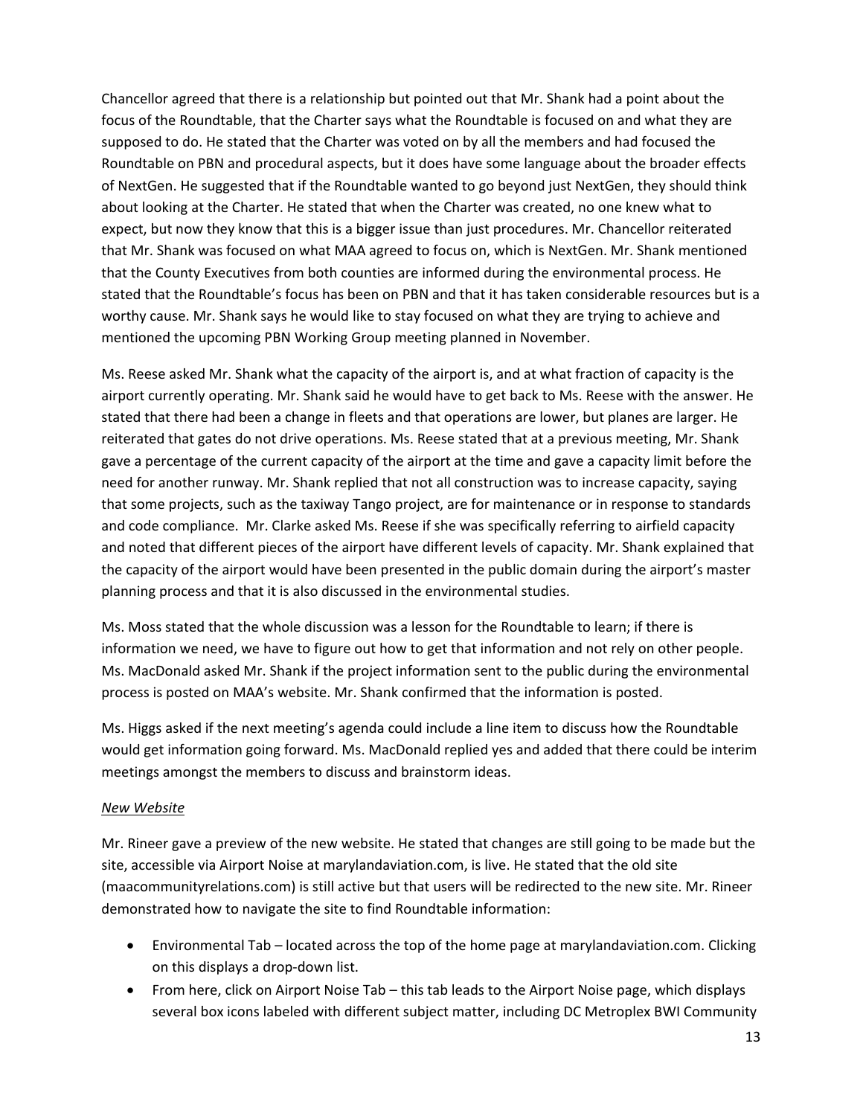Chancellor agreed that there is a relationship but pointed out that Mr. Shank had a point about the focus of the Roundtable, that the Charter says what the Roundtable is focused on and what they are supposed to do. He stated that the Charter was voted on by all the members and had focused the Roundtable on PBN and procedural aspects, but it does have some language about the broader effects of NextGen. He suggested that if the Roundtable wanted to go beyond just NextGen, they should think about looking at the Charter. He stated that when the Charter was created, no one knew what to expect, but now they know that this is a bigger issue than just procedures. Mr. Chancellor reiterated that Mr. Shank was focused on what MAA agreed to focus on, which is NextGen. Mr. Shank mentioned that the County Executives from both counties are informed during the environmental process. He stated that the Roundtable's focus has been on PBN and that it has taken considerable resources but is a worthy cause. Mr. Shank says he would like to stay focused on what they are trying to achieve and mentioned the upcoming PBN Working Group meeting planned in November.

Ms. Reese asked Mr. Shank what the capacity of the airport is, and at what fraction of capacity is the airport currently operating. Mr. Shank said he would have to get back to Ms. Reese with the answer. He stated that there had been a change in fleets and that operations are lower, but planes are larger. He reiterated that gates do not drive operations. Ms. Reese stated that at a previous meeting, Mr. Shank gave a percentage of the current capacity of the airport at the time and gave a capacity limit before the need for another runway. Mr. Shank replied that not all construction was to increase capacity, saying that some projects, such as the taxiway Tango project, are for maintenance or in response to standards and code compliance. Mr. Clarke asked Ms. Reese if she was specifically referring to airfield capacity and noted that different pieces of the airport have different levels of capacity. Mr. Shank explained that the capacity of the airport would have been presented in the public domain during the airport's master planning process and that it is also discussed in the environmental studies.

Ms. Moss stated that the whole discussion was a lesson for the Roundtable to learn; if there is information we need, we have to figure out how to get that information and not rely on other people. Ms. MacDonald asked Mr. Shank if the project information sent to the public during the environmental process is posted on MAA's website. Mr. Shank confirmed that the information is posted.

Ms. Higgs asked if the next meeting's agenda could include a line item to discuss how the Roundtable would get information going forward. Ms. MacDonald replied yes and added that there could be interim meetings amongst the members to discuss and brainstorm ideas.

### *New Website*

Mr. Rineer gave a preview of the new website. He stated that changes are still going to be made but the site, accessible via Airport Noise at marylandaviation.com, is live. He stated that the old site (maacommunityrelations.com) is still active but that users will be redirected to the new site. Mr. Rineer demonstrated how to navigate the site to find Roundtable information:

- Environmental Tab located across the top of the home page at marylandaviation.com. Clicking on this displays a drop-down list.
- From here, click on Airport Noise Tab this tab leads to the Airport Noise page, which displays several box icons labeled with different subject matter, including DC Metroplex BWI Community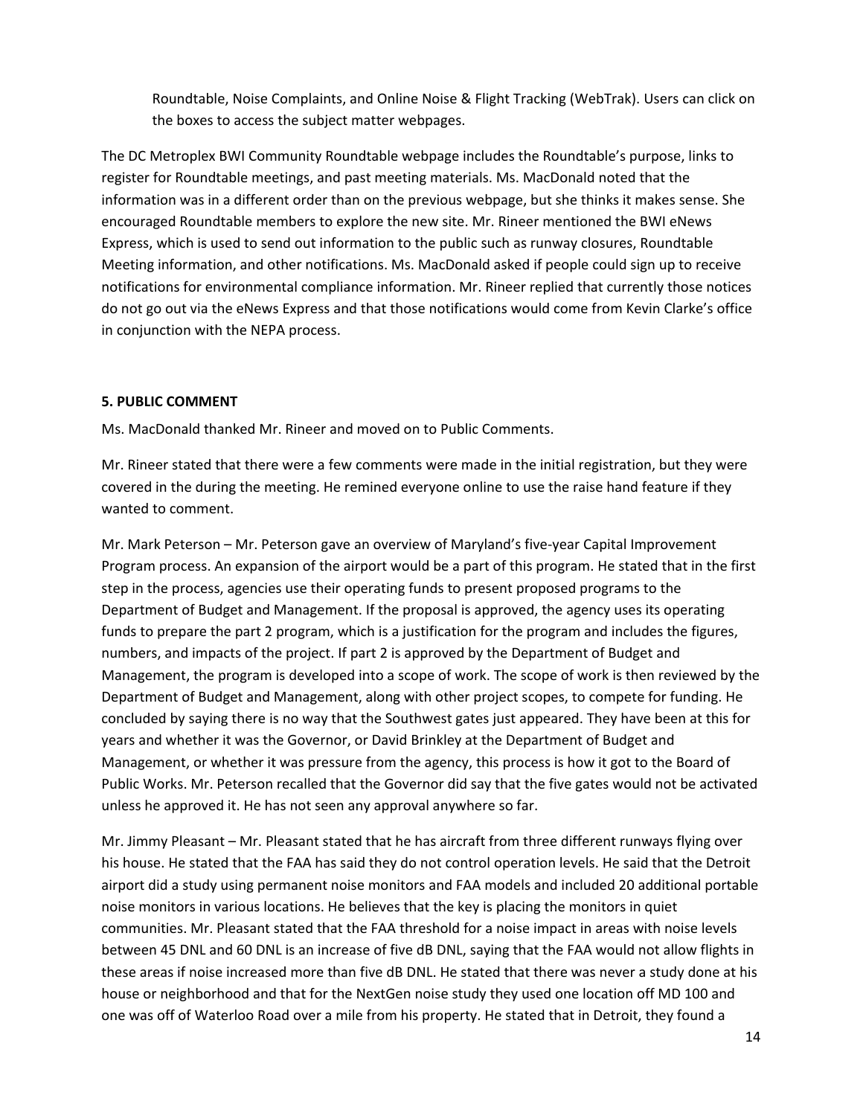Roundtable, Noise Complaints, and Online Noise & Flight Tracking (WebTrak). Users can click on the boxes to access the subject matter webpages.

The DC Metroplex BWI Community Roundtable webpage includes the Roundtable's purpose, links to register for Roundtable meetings, and past meeting materials. Ms. MacDonald noted that the information was in a different order than on the previous webpage, but she thinks it makes sense. She encouraged Roundtable members to explore the new site. Mr. Rineer mentioned the BWI eNews Express, which is used to send out information to the public such as runway closures, Roundtable Meeting information, and other notifications. Ms. MacDonald asked if people could sign up to receive notifications for environmental compliance information. Mr. Rineer replied that currently those notices do not go out via the eNews Express and that those notifications would come from Kevin Clarke's office in conjunction with the NEPA process.

### **5. PUBLIC COMMENT**

Ms. MacDonald thanked Mr. Rineer and moved on to Public Comments.

Mr. Rineer stated that there were a few comments were made in the initial registration, but they were covered in the during the meeting. He remined everyone online to use the raise hand feature if they wanted to comment.

Mr. Mark Peterson – Mr. Peterson gave an overview of Maryland's five-year Capital Improvement Program process. An expansion of the airport would be a part of this program. He stated that in the first step in the process, agencies use their operating funds to present proposed programs to the Department of Budget and Management. If the proposal is approved, the agency uses its operating funds to prepare the part 2 program, which is a justification for the program and includes the figures, numbers, and impacts of the project. If part 2 is approved by the Department of Budget and Management, the program is developed into a scope of work. The scope of work is then reviewed by the Department of Budget and Management, along with other project scopes, to compete for funding. He concluded by saying there is no way that the Southwest gates just appeared. They have been at this for years and whether it was the Governor, or David Brinkley at the Department of Budget and Management, or whether it was pressure from the agency, this process is how it got to the Board of Public Works. Mr. Peterson recalled that the Governor did say that the five gates would not be activated unless he approved it. He has not seen any approval anywhere so far.

Mr. Jimmy Pleasant – Mr. Pleasant stated that he has aircraft from three different runways flying over his house. He stated that the FAA has said they do not control operation levels. He said that the Detroit airport did a study using permanent noise monitors and FAA models and included 20 additional portable noise monitors in various locations. He believes that the key is placing the monitors in quiet communities. Mr. Pleasant stated that the FAA threshold for a noise impact in areas with noise levels between 45 DNL and 60 DNL is an increase of five dB DNL, saying that the FAA would not allow flights in these areas if noise increased more than five dB DNL. He stated that there was never a study done at his house or neighborhood and that for the NextGen noise study they used one location off MD 100 and one was off of Waterloo Road over a mile from his property. He stated that in Detroit, they found a